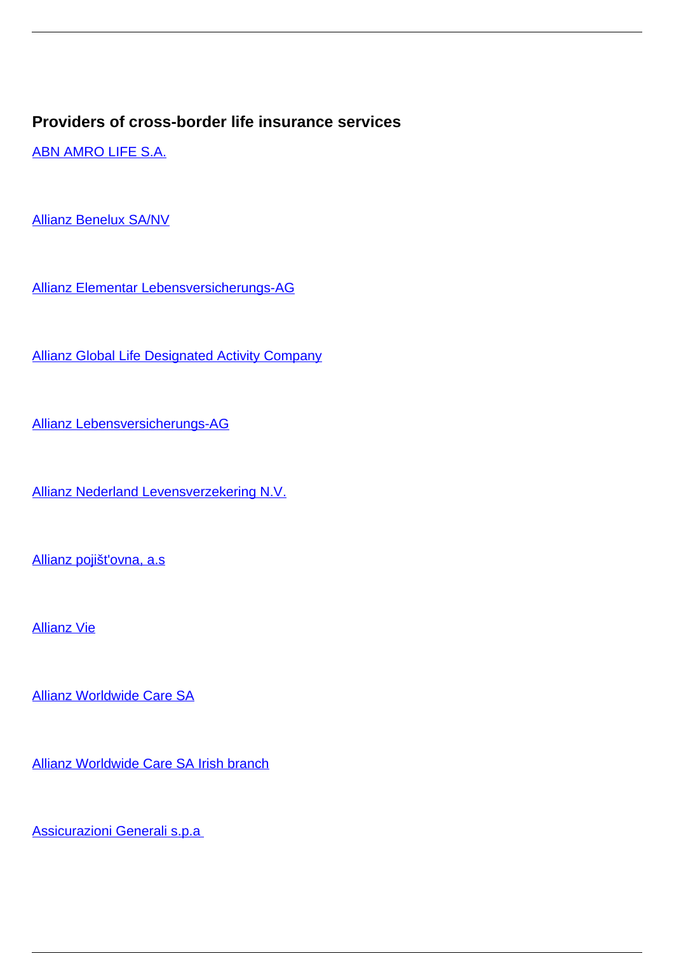## **Providers of cross-border life insurance services**

[ABN AMRO LIFE S.A.](/en/insurance/insurance-companies/insurance-0/providers-cross-border-life-insurance-services/abn-amro-life-sa)

[Allianz Benelux SA/NV](/en/insurance/insurance-companies/insurance-0/providers-cross-border-life-insurance-services/allianz-benelux-sanv)

[Allianz Elementar Lebensversicherungs-AG](/en/insurance/insurance-companies/insurance-0/providers-cross-border-life-insurance-services/allianz-elementar-lebensversicherungs-ag)

[Allianz Global Life Designated Activity Company](/en/insurance/insurance-companies/insurance-0/providers-cross-border-life-insurance-services/allianz-global-life-designated-activity-company)

[Allianz Lebensversicherungs-AG](/en/insurance/insurance-companies/insurance-0/providers-cross-border-life-insurance-services/allianz-lebensversicherungs-ag)

[Allianz Nederland Levensverzekering N.V.](/en/insurance/insurance-companies/insurance-0/providers-cross-border-life-insurance-services/allianz-nederland-levensverzekering-nv)

[Allianz pojišt'ovna, a.s](/en/insurance/insurance-companies/insurance-0/providers-cross-border-life-insurance-services/allianz-pojistovna)

[Allianz Vie](/en/insurance/insurance-companies/insurance-0/providers-cross-border-life-insurance-services/allianz-vie)

[Allianz Worldwide Care SA](/en/insurance/insurance-companies/insurance-0/providers-cross-border-life-insurance-services/allianz-worldwide-care-sa)

[Allianz Worldwide Care SA Irish branch](/en/insurance/insurance-companies/insurance-0/providers-cross-border-life-insurance-services/allianz-worldwide-care-sa-irish-branch)

[Assicurazioni Generali s.p.a](/en/insurance/insurance-companies/insurance-0/providers-cross-border-life-insurance-services/assicurazioni-generali-spa)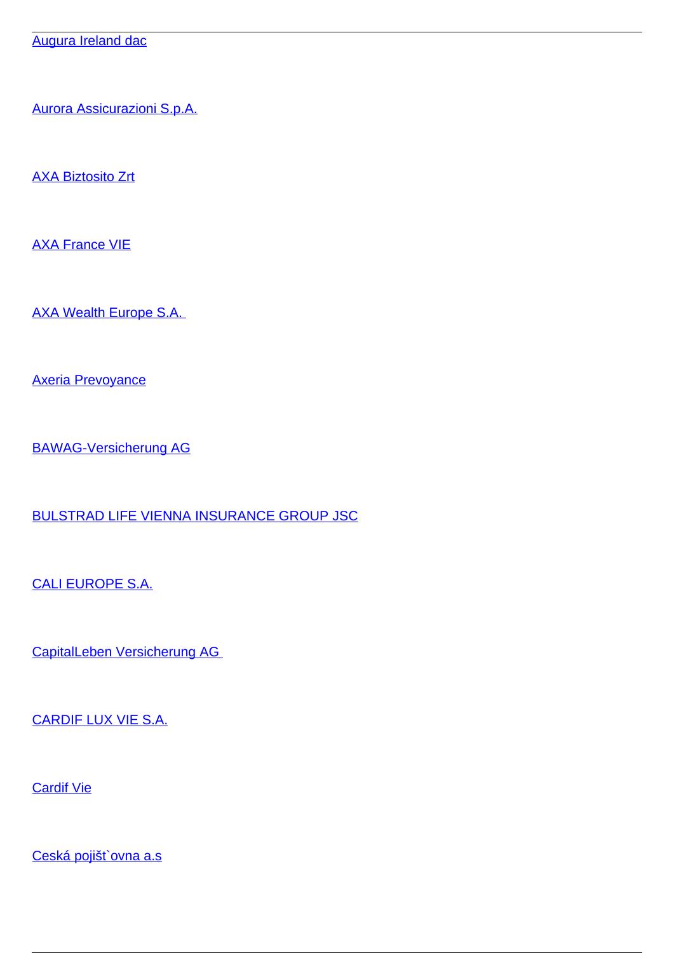[Augura Ireland dac](/en/insurance/insurance-companies/insurance-0/providers-cross-border-life-insurance-services/augura-ireland-dac)

[Aurora Assicurazioni S.p.A.](/en/insurance/insurance-companies/insurance-0/providers-cross-border-life-insurance-services/aurora-assicurazioni-spa)

[AXA Biztosito Zrt](/en/insurance/insurance-companies/insurance-0/providers-cross-border-life-insurance-services/axa-biztosito-zrt)

[AXA France VIE](/en/insurance/insurance-companies/insurance-0/providers-cross-border-life-insurance-services/axa-france-vie)

[AXA Wealth Europe S.A.](/en/insurance/insurance-companies/insurance-0/providers-cross-border-life-insurance-services/axa-wealth-europe-sa) 

[Axeria Prevoyance](/en/insurance/insurance-companies/insurance-0/providers-cross-border-life-insurance-services/axeria-prevoyance)

[BAWAG-Versicherung AG](/en/insurance/insurance-companies/insurance-0/providers-cross-border-life-insurance-services/bawag-versicherung-ag)

[BULSTRAD LIFE VIENNA INSURANCE GROUP JSC](/en/insurance/insurance-companies/insurance-0/providers-cross-border-life-insurance-services/bulstrad-life-vienna-insurance-group-jsc)

[CALI EUROPE S.A.](/en/insurance/insurance-companies/insurance-0/providers-cross-border-life-insurance-services/cali-europe-sa)

[CapitalLeben Versicherung AG](/en/insurance/insurance-companies/insurance-0/providers-cross-border-life-insurance-services/capitalleben-versicherung-ag) 

[CARDIF LUX VIE S.A.](/en/insurance/insurance-companies/insurance-0/providers-cross-border-life-insurance-services/cardif-lux-vie-sa)

[Cardif Vie](/en/insurance/insurance-companies/insurance-0/providers-cross-border-life-insurance-services/cardif-vie)

[Ceská pojišt`ovna a.s](/en/insurance/insurance-companies/insurance-0/providers-cross-border-life-insurance-services/ceska-pojistovna)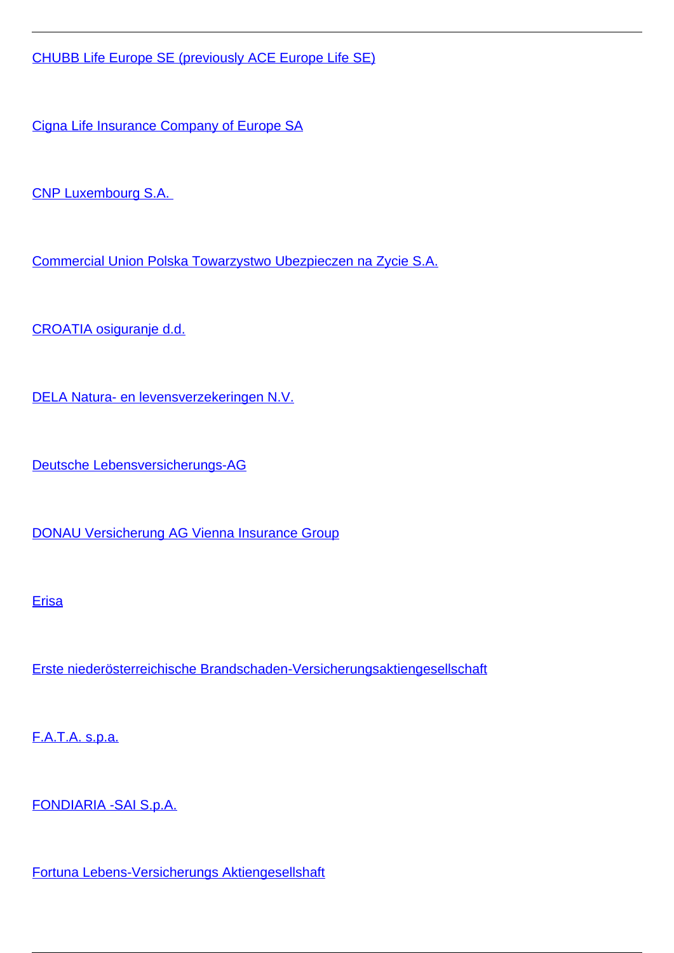[CHUBB Life Europe SE \(previously ACE Europe Life SE\)](/en/insurance/insurance-companies/insurance-0/providers-cross-border-life-insurance-services/chubb-life-europe-se-previously-ace-europe-life-se)

[Cigna Life Insurance Company of Europe SA](/en/insurance/insurance-companies/insurance-0/providers-cross-border-life-insurance-services/cigna-life-insurance-company-europe-sa)

[CNP Luxembourg S.A.](/en/insurance/insurance-companies/insurance-0/providers-cross-border-life-insurance-services/cnp-luxembourg-sa) 

[Commercial Union Polska Towarzystwo Ubezpieczen na Zycie S.A.](/en/insurance/insurance-companies/insurance-0/providers-cross-border-life-insurance-services/commercial-union-polska-towarzystwo-ubezpieczen-na-zycie-sa)

[CROATIA osiguranje d.d.](/en/insurance/insurance-companies/insurance-0/providers-cross-border-life-insurance-services/croatia-osiguranje-dd)

[DELA Natura- en levensverzekeringen N.V.](/en/insurance/insurance-companies/insurance-0/providers-cross-border-life-insurance-services/dela-natura-en-levensverzekeringen-nv)

[Deutsche Lebensversicherungs-AG](/en/insurance/insurance-companies/insurance-0/providers-cross-border-life-insurance-services/deutsche-lebensversicherungs-ag)

[DONAU Versicherung AG Vienna Insurance Group](/en/insurance/insurance-companies/insurance-0/providers-cross-border-life-insurance-services/donau-versicherung-ag-vienna-insurance-group)

## [Erisa](/en/insurance/insurance-companies/insurance-0/providers-cross-border-life-insurance-services/erisa)

[Erste niederösterreichische Brandschaden-Versicherungsaktiengesellschaft](/en/insurance/insurance-companies/insurance-0/providers-cross-border-life-insurance-services/erste-niederosterreichische-brandschaden-versicherungsaktiengesellschaft)

[F.A.T.A. s.p.a.](/en/insurance/insurance-companies/insurance-0/providers-cross-border-life-insurance-services/fata-spa)

[FONDIARIA -SAI S.p.A.](/en/insurance/insurance-companies/insurance-0/providers-cross-border-life-insurance-services/fondiaria-sai-spa)

[Fortuna Lebens-Versicherungs Aktiengesellshaft](/en/insurance/insurance-companies/insurance-0/providers-cross-border-life-insurance-services/fortuna-lebens-versicherungs-aktiengesellshaft)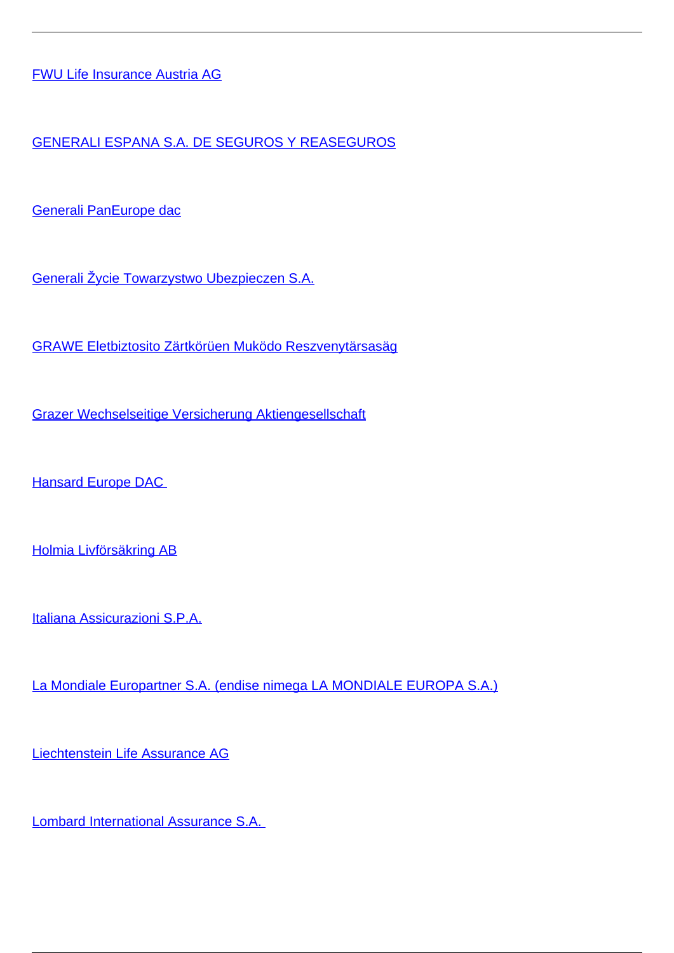[FWU Life Insurance Austria AG](/en/insurance/insurance-companies/insurance-0/providers-cross-border-life-insurance-services/fwu-life-insurance-austria-ag)

[GENERALI ESPANA S.A. DE SEGUROS Y REASEGUROS](/en/insurance/insurance-companies/insurance-0/providers-cross-border-life-insurance-services/generali-espana-sa-de-seguros-y-reaseguros)

[Generali PanEurope dac](/en/insurance/insurance-companies/insurance-0/providers-cross-border-life-insurance-services/generali-paneurope-dac)

[Generali Žycie Towarzystwo Ubezpieczen S.A.](/en/insurance/insurance-companies/insurance-0/providers-cross-border-life-insurance-services/generali-zycie-towarzystwo-ubezpieczen-sa)

[GRAWE Eletbiztosito Zärtkörüen Muködo Reszvenytärsasäg](/en/insurance/insurance-companies/insurance-0/providers-cross-border-life-insurance-services/grawe-eletbiztosito-zartkoruen-mukodo-reszvenytarsasag)

[Grazer Wechselseitige Versicherung Aktiengesellschaft](/en/insurance/insurance-companies/insurance-0/providers-cross-border-life-insurance-services/grazer-wechselseitige-versicherung-aktiengesellschaft)

**Hansard Europe DAC** 

[Holmia Livförsäkring AB](/en/insurance/insurance-companies/insurance-0/providers-cross-border-life-insurance-services/holmia-livforsakring-ab)

[Italiana Assicurazioni S.P.A.](/en/insurance/insurance-companies/insurance-0/providers-cross-border-life-insurance-services/italiana-assicurazioni-spa)

[La Mondiale Europartner S.A. \(endise nimega LA MONDIALE EUROPA S.A.\)](/en/insurance/insurance-companies/insurance-0/providers-cross-border-life-insurance-services/la-mondiale-europartner-sa-endise-nimega-la-mondiale-europa-sa)

[Liechtenstein Life Assurance AG](/en/insurance/insurance-companies/insurance-0/providers-cross-border-life-insurance-services/liechtenstein-life-assurance-ag)

[Lombard International Assurance S.A.](/en/insurance/insurance-companies/insurance-0/providers-cross-border-life-insurance-services/lombard-international-assurance-sa)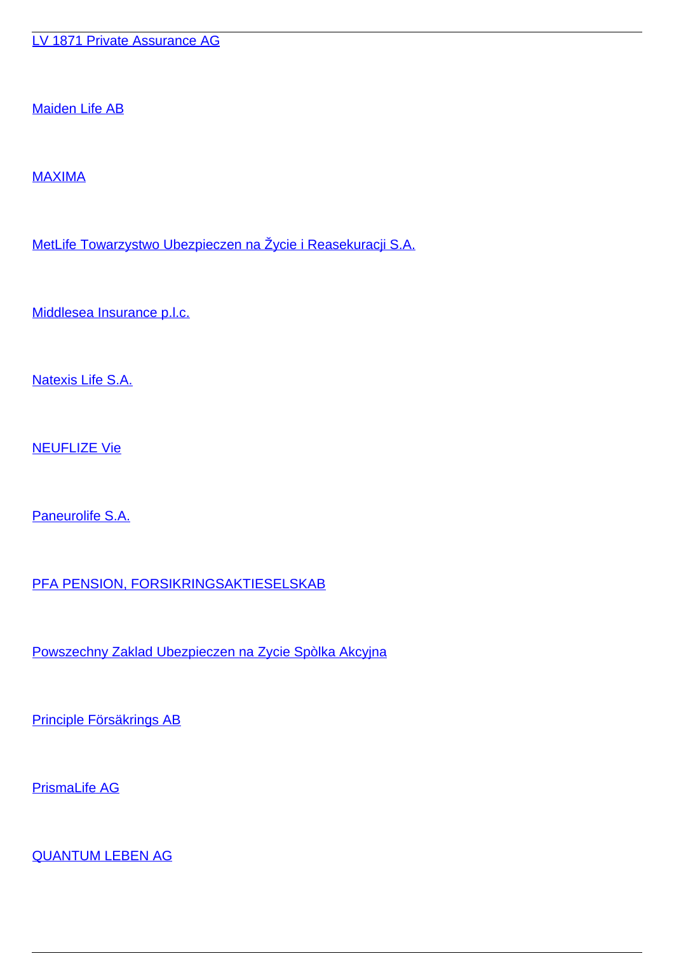[LV 1871 Private Assurance AG](/en/insurance/insurance-companies/insurance-0/providers-cross-border-life-insurance-services/lv-1871-private-assurance-ag)

[Maiden Life AB](/en/insurance/insurance-companies/insurance-0/providers-cross-border-life-insurance-services/maiden-life-ab)

[MAXIMA](/en/insurance/insurance-companies/insurance-0/providers-cross-border-life-insurance-services/maxima)

[MetLife Towarzystwo Ubezpieczen na Žycie i Reasekuracji S.A.](/en/insurance/insurance-companies/insurance-0/providers-cross-border-life-insurance-services/metlife-towarzystwo-ubezpieczen-na-zycie-i-reasekuracji-sa)

[Middlesea Insurance p.l.c.](/en/insurance/insurance-companies/insurance-0/providers-cross-border-life-insurance-services/middlesea-insurance-plc)

[Natexis Life S.A.](/en/insurance/insurance-companies/insurance-0/providers-cross-border-life-insurance-services/natexis-life-sa)

[NEUFLIZE Vie](/en/insurance/insurance-companies/insurance-0/providers-cross-border-life-insurance-services/neuflize-vie)

[Paneurolife S.A.](/en/insurance/insurance-companies/insurance-0/providers-cross-border-life-insurance-services/paneurolife-sa)

[PFA PENSION, FORSIKRINGSAKTIESELSKAB](/en/insurance/insurance-companies/insurance-0/providers-cross-border-life-insurance-services/pfa-pension-forsikringsaktieselskab)

[Powszechny Zaklad Ubezpieczen na Zycie Spòlka Akcyjna](/en/insurance/insurance-companies/insurance-0/providers-cross-border-life-insurance-services/powszechny-zaklad-ubezpieczen-na-zycie-spolka-akcyjna)

[Principle Försäkrings AB](/en/insurance/insurance-companies/insurance-0/providers-cross-border-life-insurance-services/principle-forsakrings-ab)

[PrismaLife AG](/en/insurance/insurance-companies/insurance-0/providers-cross-border-life-insurance-services/prismalife-ag)

[QUANTUM LEBEN AG](/en/insurance/insurance-companies/insurance-0/providers-cross-border-life-insurance-services/quantum-leben-ag)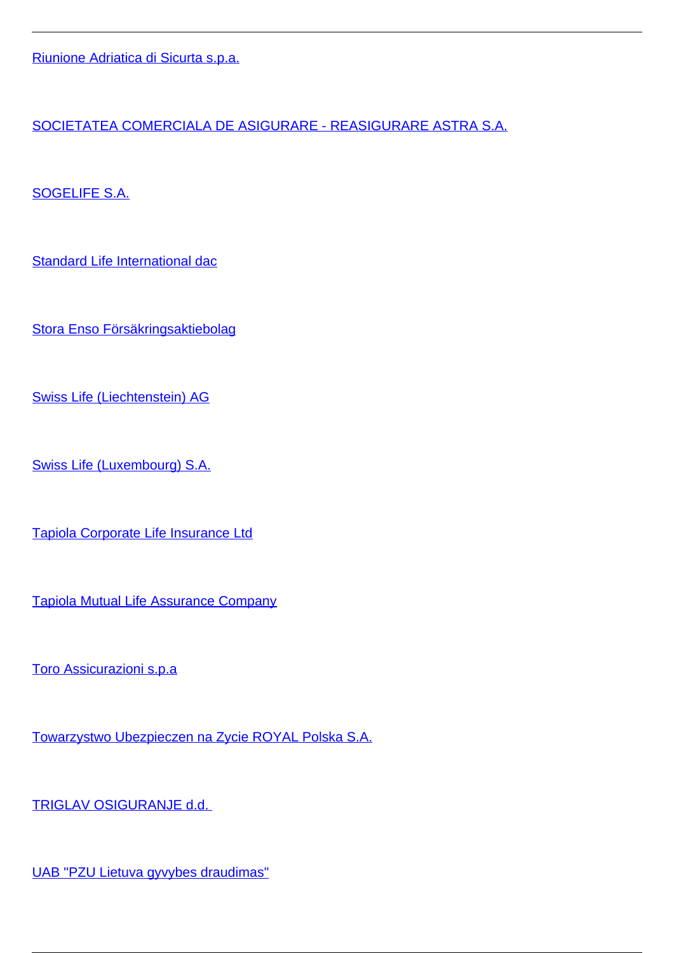[Riunione Adriatica di Sicurta s.p.a.](/en/insurance/insurance-companies/insurance-0/providers-cross-border-life-insurance-services/riunione-adriatica-di-sicurta-spa)

[SOCIETATEA COMERCIALA DE ASIGURARE - REASIGURARE ASTRA S.A.](/en/insurance/insurance-companies/insurance-0/providers-cross-border-life-insurance-services/societatea-comerciala-de-asigurare-reasigurare-astra-sa)

[SOGELIFE S.A.](/en/insurance/insurance-companies/insurance-0/providers-cross-border-life-insurance-services/sogelife-sa)

[Standard Life International dac](/en/insurance/insurance-companies/insurance-0/providers-cross-border-life-insurance-services/standard-life-international-dac)

[Stora Enso Försäkringsaktiebolag](/en/insurance/insurance-companies/insurance-0/providers-cross-border-life-insurance-services/stora-enso-forsakringsaktiebolag)

[Swiss Life \(Liechtenstein\) AG](/en/insurance/insurance-companies/insurance-0/providers-cross-border-life-insurance-services/swiss-life-liechtenstein-ag)

[Swiss Life \(Luxembourg\) S.A.](/en/insurance/insurance-companies/insurance-0/providers-cross-border-life-insurance-services/swiss-life-luxembourg-sa)

[Tapiola Corporate Life Insurance Ltd](/en/insurance/insurance-companies/insurance-0/providers-cross-border-life-insurance-services/tapiola-corporate-life-insurance-ltd)

[Tapiola Mutual Life Assurance Company](/en/insurance/insurance-companies/insurance-0/providers-cross-border-life-insurance-services/tapiola-mutual-life-assurance-company)

[Toro Assicurazioni s.p.a](/en/insurance/insurance-companies/insurance-0/providers-cross-border-life-insurance-services/toro-assicurazioni-spa)

[Towarzystwo Ubezpieczen na Zycie ROYAL Polska S.A.](/en/insurance/insurance-companies/insurance-0/providers-cross-border-life-insurance-services/towarzystwo-ubezpieczen-na-zycie-royal-polska-sa)

[TRIGLAV OSIGURANJE d.d.](/en/insurance/insurance-companies/insurance-0/providers-cross-border-life-insurance-services/triglav-osiguranje-dd) 

[UAB "PZU Lietuva gyvybes draudimas"](/en/insurance/insurance-companies/insurance-0/providers-cross-border-life-insurance-services/uab-pzu-lietuva-gyvybes-draudimas)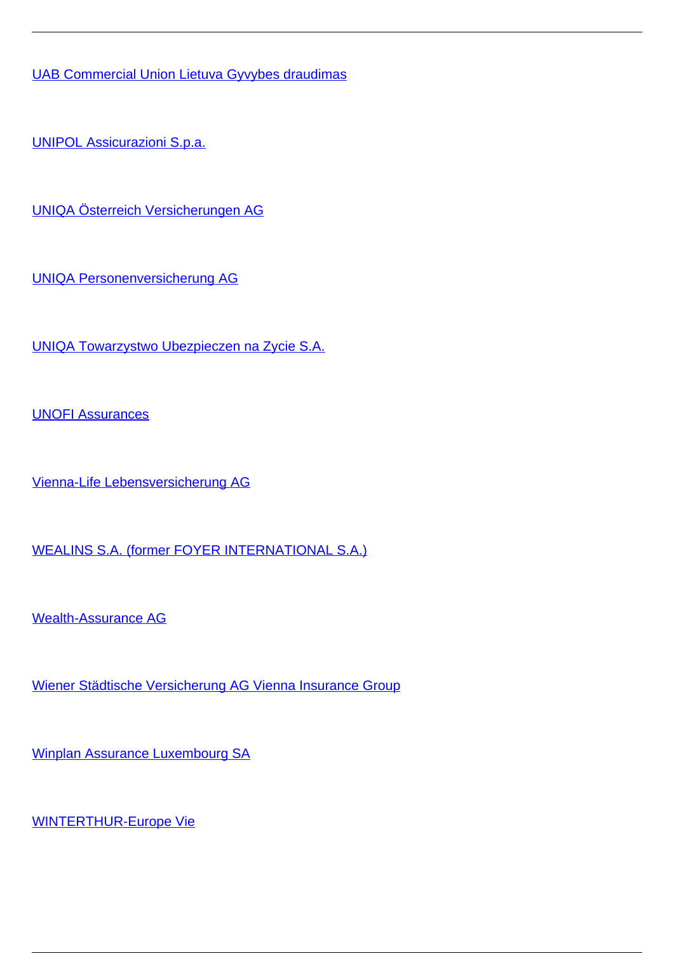[UAB Commercial Union Lietuva Gyvybes draudimas](/en/insurance/insurance-companies/insurance-0/providers-cross-border-life-insurance-services/uab-commercial-union-lietuva-gyvybes-draudimas)

[UNIPOL Assicurazioni S.p.a.](/en/insurance/insurance-companies/insurance-0/providers-cross-border-life-insurance-services/unipol-assicurazioni-spa)

[UNIQA Österreich Versicherungen AG](/en/insurance/insurance-companies/insurance-0/providers-cross-border-life-insurance-services/uniqa-osterreich-versicherungen-ag)

[UNIQA Personenversicherung AG](/en/insurance/insurance-companies/insurance-0/providers-cross-border-life-insurance-services/uniqa-personenversicherung-ag)

[UNIQA Towarzystwo Ubezpieczen na Zycie S.A.](/en/insurance/insurance-companies/insurance-0/providers-cross-border-life-insurance-services/uniqa-towarzystwo-ubezpieczen-na-zycie-sa)

[UNOFI Assurances](/en/insurance/insurance-companies/insurance-0/providers-cross-border-life-insurance-services/unofi-assurances)

[Vienna-Life Lebensversicherung AG](/en/insurance/insurance-companies/insurance-0/providers-cross-border-life-insurance-services/vienna-life-lebensversicherung-ag)

[WEALINS S.A. \(former FOYER INTERNATIONAL S.A.\)](/en/insurance/insurance-companies/insurance-0/providers-cross-border-life-insurance-services/wealins-sa-former-foyer-international-sa)

[Wealth-Assurance AG](/en/insurance/insurance-companies/insurance-0/providers-cross-border-life-insurance-services/wealth-assurance-ag)

[Wiener Städtische Versicherung AG Vienna Insurance Group](/en/insurance/insurance-companies/insurance-0/providers-cross-border-life-insurance-services/wiener-stadtische-versicherung-ag-vienna-insurance-group)

[Winplan Assurance Luxembourg SA](/en/insurance/insurance-companies/insurance-0/providers-cross-border-life-insurance-services/winplan-assurance-luxembourg-sa)

[WINTERTHUR-Europe Vie](/en/insurance/insurance-companies/insurance-0/providers-cross-border-life-insurance-services/winterthur-europe-vie)